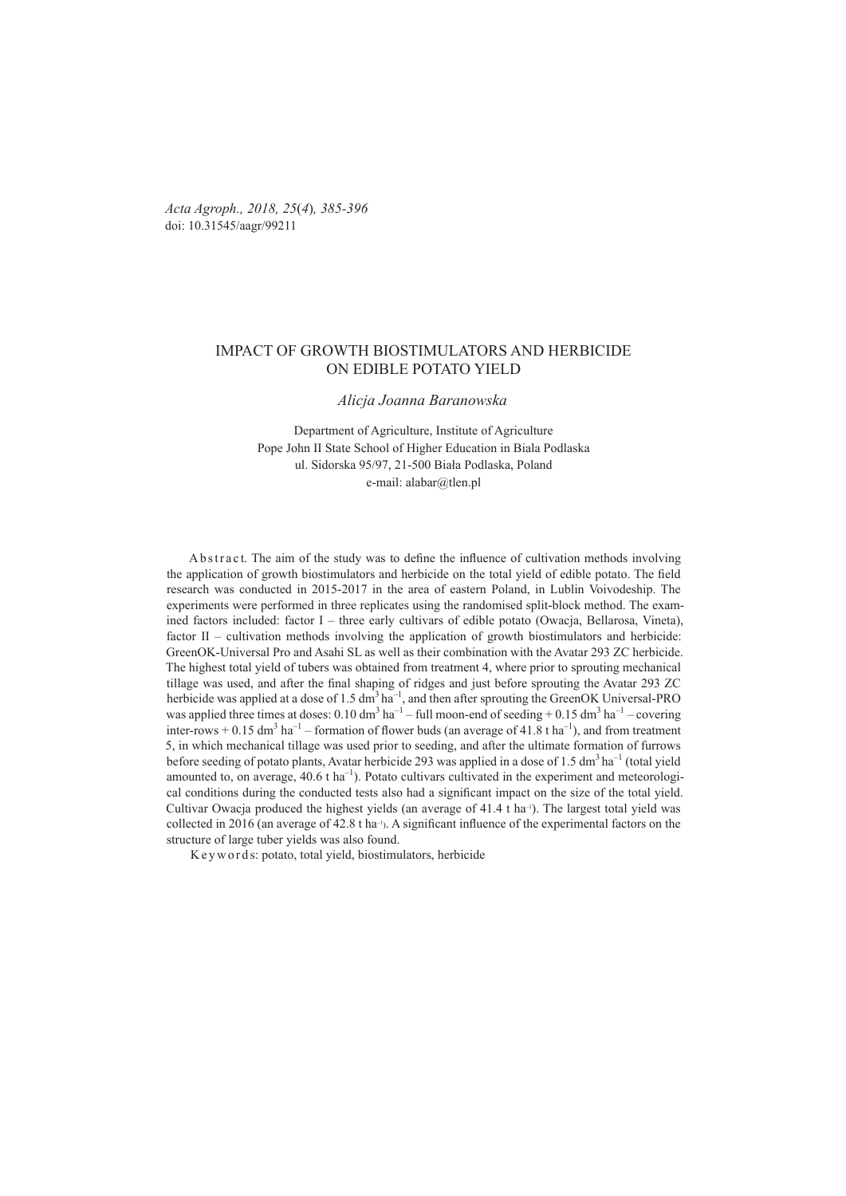*Acta Agroph., 2018, 25*(*4*)*, 385-396*  doi: 10.31545/aagr/99211

# IMPACT OF GROWTH BIOSTIMULATORS AND HERBICIDE ON EDIBLE POTATO YIELD

#### *Alicja Joanna Baranowska*

Department of Agriculture, Institute of Agriculture Pope John II State School of Higher Education in Biala Podlaska ul. Sidorska 95/97, 21-500 Biała Podlaska, Poland e-mail: alabar@tlen.pl

A b s tract. The aim of the study was to define the influence of cultivation methods involving the application of growth biostimulators and herbicide on the total yield of edible potato. The field research was conducted in 2015-2017 in the area of eastern Poland, in Lublin Voivodeship. The experiments were performed in three replicates using the randomised split-block method. The examined factors included: factor I – three early cultivars of edible potato (Owacja, Bellarosa, Vineta), factor II – cultivation methods involving the application of growth biostimulators and herbicide: GreenOK-Universal Pro and Asahi SL as well as their combination with the Avatar 293 ZC herbicide. The highest total yield of tubers was obtained from treatment 4, where prior to sprouting mechanical tillage was used, and after the final shaping of ridges and just before sprouting the Avatar 293 ZC herbicide was applied at a dose of 1.5 dm<sup>3</sup> ha<sup>-1</sup>, and then after sprouting the GreenOK Universal-PRO was applied three times at doses:  $0.10 \text{ dm}^3 \text{ ha}^{-1}$  – full moon-end of seeding +  $0.15 \text{ dm}^3 \text{ ha}^{-1}$  – covering inter-rows  $+$  0.15 dm<sup>3</sup> ha<sup>-1</sup> – formation of flower buds (an average of 41.8 t ha<sup>-1</sup>), and from treatment 5, in which mechanical tillage was used prior to seeding, and after the ultimate formation of furrows before seeding of potato plants, Avatar herbicide 293 was applied in a dose of 1.5 dm<sup>3</sup> ha<sup>-1</sup> (total yield amounted to, on average,  $40.6$  t ha<sup>-1</sup>). Potato cultivars cultivated in the experiment and meteorological conditions during the conducted tests also had a significant impact on the size of the total yield. Cultivar Owacja produced the highest yields (an average of  $41.4$  t ha<sup>-1</sup>). The largest total yield was collected in 2016 (an average of 42.8 t ha<sup>-1</sup>). A significant influence of the experimental factors on the structure of large tuber yields was also found.

K e y w o r d s: potato, total yield, biostimulators, herbicide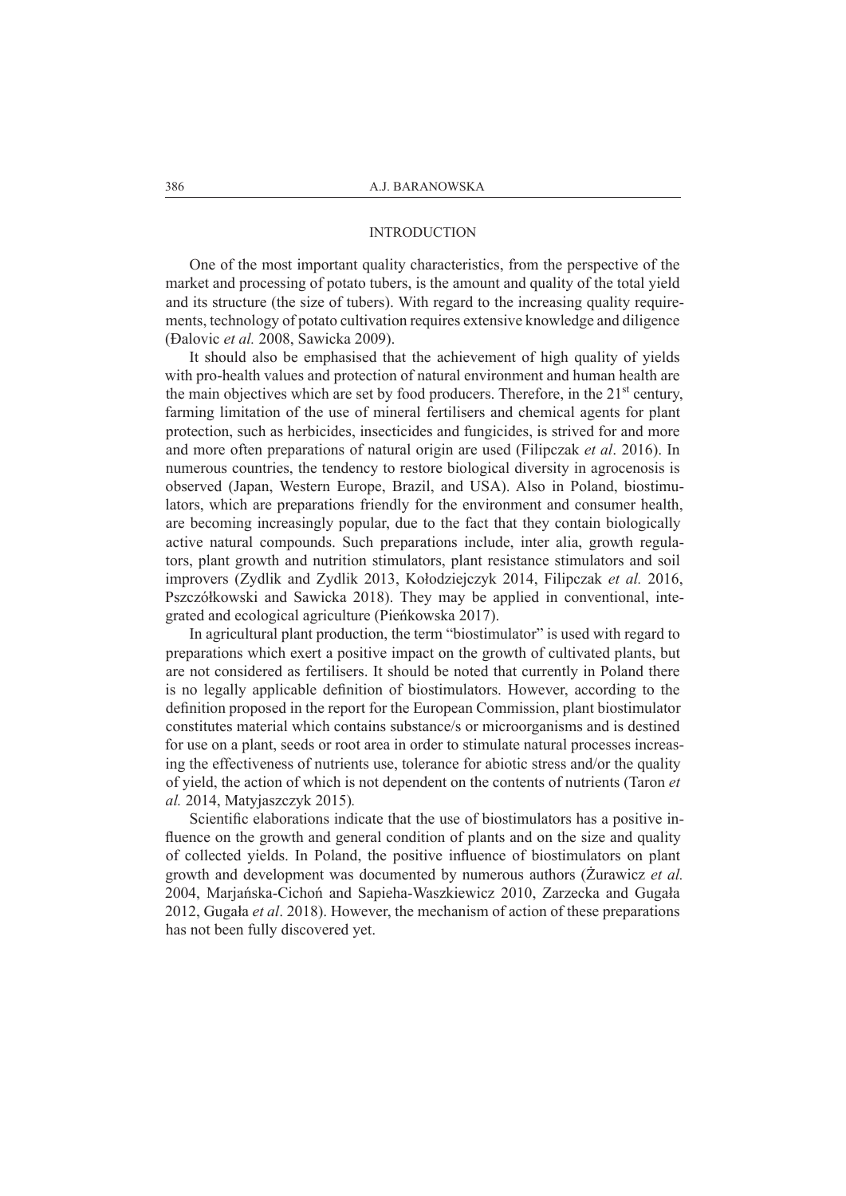# INTRODUCTION

One of the most important quality characteristics, from the perspective of the market and processing of potato tubers, is the amount and quality of the total yield and its structure (the size of tubers). With regard to the increasing quality requirements, technology of potato cultivation requires extensive knowledge and diligence (Đalovic *et al.* 2008, Sawicka 2009).

It should also be emphasised that the achievement of high quality of yields with pro-health values and protection of natural environment and human health are the main objectives which are set by food producers. Therefore, in the  $21<sup>st</sup>$  century, farming limitation of the use of mineral fertilisers and chemical agents for plant protection, such as herbicides, insecticides and fungicides, is strived for and more and more often preparations of natural origin are used (Filipczak *et al*. 2016). In numerous countries, the tendency to restore biological diversity in agrocenosis is observed (Japan, Western Europe, Brazil, and USA). Also in Poland, biostimulators, which are preparations friendly for the environment and consumer health, are becoming increasingly popular, due to the fact that they contain biologically active natural compounds. Such preparations include, inter alia, growth regulators, plant growth and nutrition stimulators, plant resistance stimulators and soil improvers (Zydlik and Zydlik 2013, Kołodziejczyk 2014, Filipczak *et al.* 2016, Pszczółkowski and Sawicka 2018). They may be applied in conventional, integrated and ecological agriculture (Pieńkowska 2017).

In agricultural plant production, the term "biostimulator" is used with regard to preparations which exert a positive impact on the growth of cultivated plants, but are not considered as fertilisers. It should be noted that currently in Poland there is no legally applicable definition of biostimulators. However, according to the definition proposed in the report for the European Commission, plant biostimulator constitutes material which contains substance/s or microorganisms and is destined for use on a plant, seeds or root area in order to stimulate natural processes increasing the effectiveness of nutrients use, tolerance for abiotic stress and/or the quality of yield, the action of which is not dependent on the contents of nutrients (Taron *et al.* 2014, Matyjaszczyk 2015)*.*

Scientific elaborations indicate that the use of biostimulators has a positive influence on the growth and general condition of plants and on the size and quality of collected yields. In Poland, the positive influence of biostimulators on plant growth and development was documented by numerous authors (Żurawicz *et al.* 2004, Marjańska-Cichoń and Sapieha-Waszkiewicz 2010, Zarzecka and Gugała 2012, Gugała *et al*. 2018). However, the mechanism of action of these preparations has not been fully discovered yet.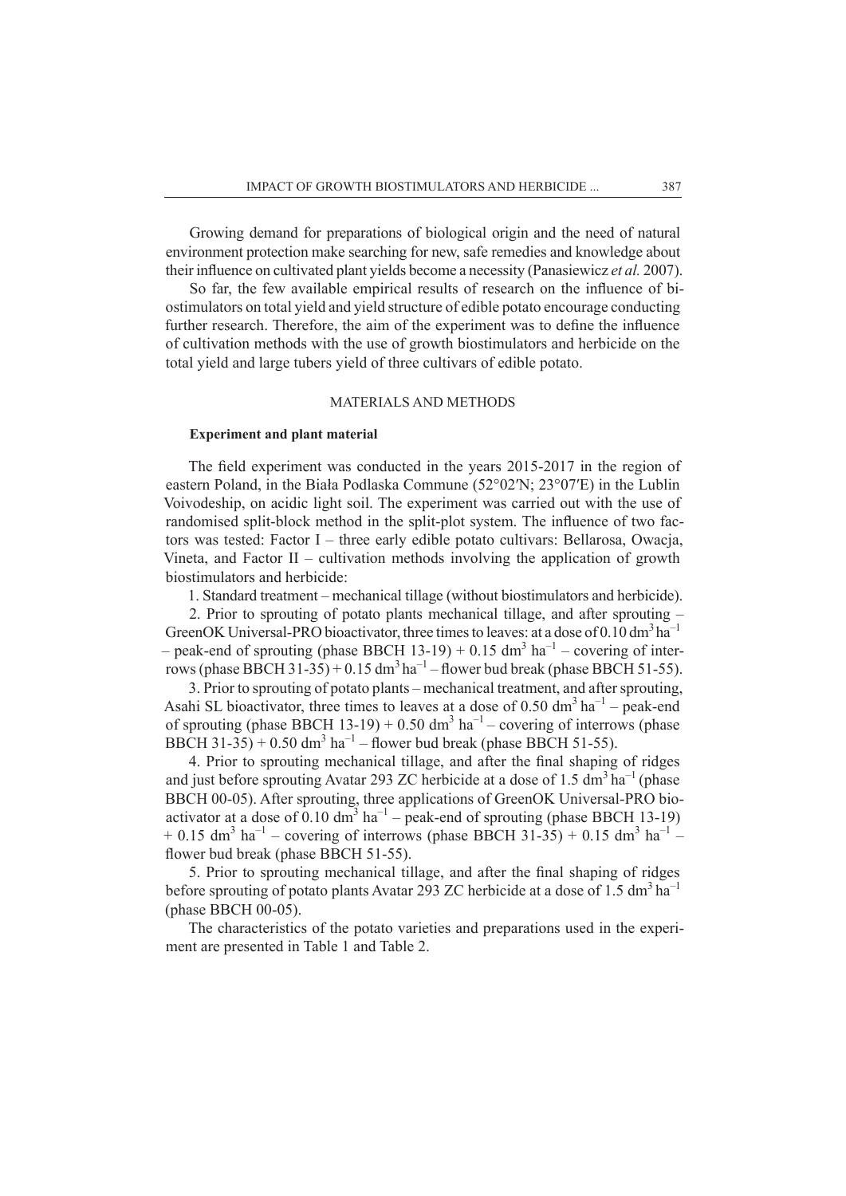Growing demand for preparations of biological origin and the need of natural environment protection make searching for new, safe remedies and knowledge about their influence on cultivated plant yields become a necessity (Panasiewicz *et al.* 2007).

So far, the few available empirical results of research on the influence of biostimulators on total yield and yield structure of edible potato encourage conducting further research. Therefore, the aim of the experiment was to define the influence of cultivation methods with the use of growth biostimulators and herbicide on the total yield and large tubers yield of three cultivars of edible potato.

## MATERIALS AND METHODS

## **Experiment and plant material**

The field experiment was conducted in the years 2015-2017 in the region of eastern Poland, in the Biała Podlaska Commune (52°02′N; 23°07′E) in the Lublin Voivodeship, on acidic light soil. The experiment was carried out with the use of randomised split-block method in the split-plot system. The influence of two factors was tested: Factor I – three early edible potato cultivars: Bellarosa, Owacja, Vineta, and Factor II – cultivation methods involving the application of growth biostimulators and herbicide:

1. Standard treatment – mechanical tillage (without biostimulators and herbicide).

2. Prior to sprouting of potato plants mechanical tillage, and after sprouting – GreenOK Universal-PRO bioactivator, three times to leaves: at a dose of  $0.10 \text{ dm}^3 \text{ ha}^{-1}$ – peak-end of sprouting (phase BBCH 13-19) + 0.15 dm<sup>3</sup> ha<sup>-1</sup> – covering of interrows (phase BBCH 31-35) + 0.15 dm<sup>3</sup> ha<sup>-1</sup> – flower bud break (phase BBCH 51-55).

3. Prior to sprouting of potato plants – mechanical treatment, and after sprouting, Asahi SL bioactivator, three times to leaves at a dose of 0.50 dm<sup>3</sup> ha<sup>-1</sup> – peak-end of sprouting (phase BBCH 13-19) + 0.50 dm<sup>3</sup> ha<sup>-1</sup> – covering of interrows (phase BBCH 31-35) + 0.50 dm<sup>3</sup> ha<sup>-1</sup> – flower bud break (phase BBCH 51-55).

4. Prior to sprouting mechanical tillage, and after the final shaping of ridges and just before sprouting Avatar 293 ZC herbicide at a dose of 1.5  $\text{dm}^3$  ha<sup>-1</sup> (phase BBCH 00-05). After sprouting, three applications of GreenOK Universal-PRO bioactivator at a dose of 0.10  $dm^3$  ha<sup>-1</sup> – peak-end of sprouting (phase BBCH 13-19)  $+ 0.15$  dm<sup>3</sup> ha<sup>-1</sup> – covering of interrows (phase BBCH 31-35) + 0.15 dm<sup>3</sup> ha<sup>-1</sup> – flower bud break (phase BBCH 51-55).

5. Prior to sprouting mechanical tillage, and after the final shaping of ridges before sprouting of potato plants Avatar 293 ZC herbicide at a dose of 1.5 dm<sup>3</sup> ha<sup>-1</sup> (phase BBCH 00-05).

The characteristics of the potato varieties and preparations used in the experiment are presented in Table 1 and Table 2.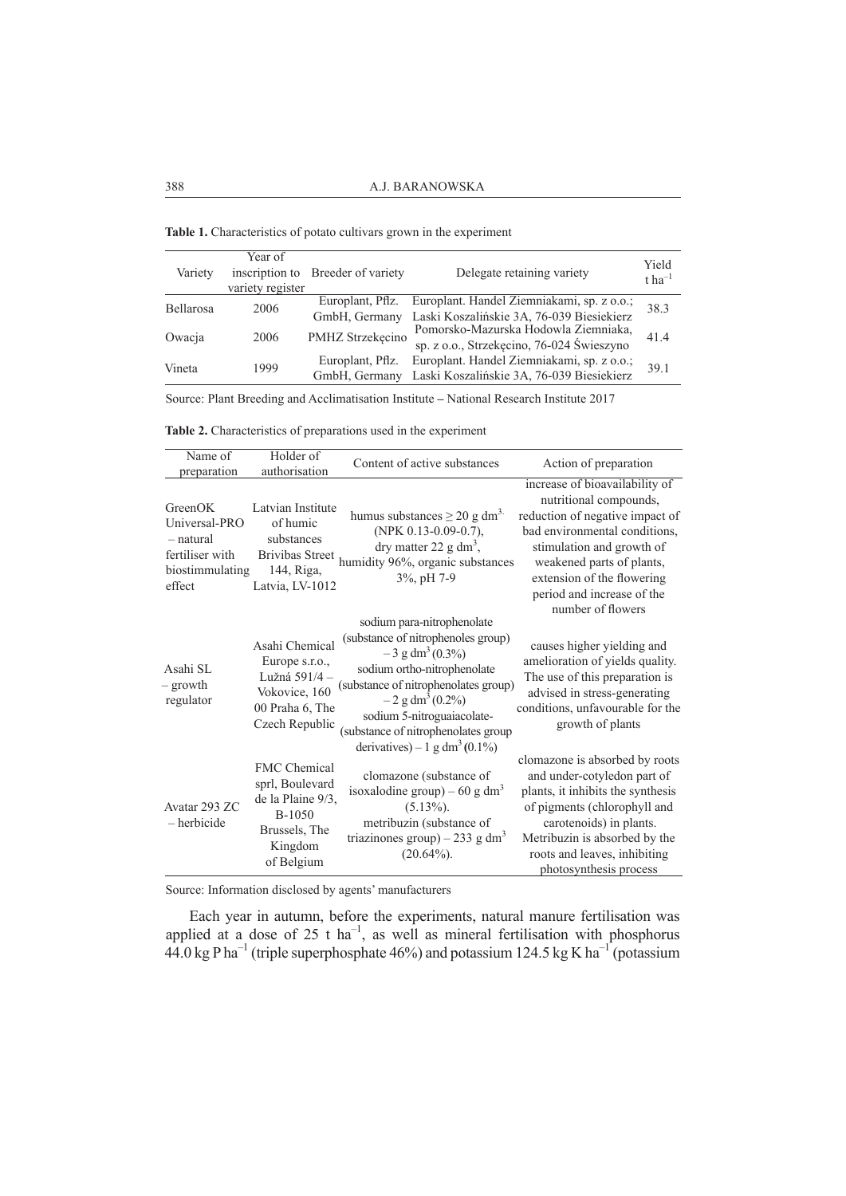**Table 1.** Characteristics of potato cultivars grown in the experiment

| Variety   | Year of<br>inscription to | Breeder of variety                        | Delegate retaining variety                 | Yield<br>$t$ ha <sup>-1</sup> |  |
|-----------|---------------------------|-------------------------------------------|--------------------------------------------|-------------------------------|--|
|           | variety register          |                                           |                                            |                               |  |
| Bellarosa | 2006                      | Europlant, Pflz.                          | Europlant. Handel Ziemniakami, sp. z o.o.; | 38.3                          |  |
|           |                           | GmbH, Germany                             | Laski Koszalińskie 3A, 76-039 Biesiekierz  |                               |  |
| Owacja    | 2006                      | PMHZ Strzekęcino                          | Pomorsko-Mazurska Hodowla Ziemniaka,       |                               |  |
|           |                           | sp. z o.o., Strzekęcino, 76-024 Świeszyno |                                            | 41.4                          |  |
| Vineta    | 1999                      | Europlant, Pflz.                          | Europlant. Handel Ziemniakami, sp. z o.o.; |                               |  |
|           |                           | GmbH, Germany                             | Laski Koszalińskie 3A, 76-039 Biesiekierz  | 39.1                          |  |

Source: Plant Breeding and Acclimatisation Institute **–** National Research Institute 2017

**Table 2.** Characteristics of preparations used in the experiment

| Name of<br>preparation                                                                | Holder of<br>authorisation                                                                                      | Content of active substances                                                                                                                                                                                                                                                                                                | Action of preparation                                                                                                                                                                                                                                                   |
|---------------------------------------------------------------------------------------|-----------------------------------------------------------------------------------------------------------------|-----------------------------------------------------------------------------------------------------------------------------------------------------------------------------------------------------------------------------------------------------------------------------------------------------------------------------|-------------------------------------------------------------------------------------------------------------------------------------------------------------------------------------------------------------------------------------------------------------------------|
| GreenOK<br>Universal-PRO<br>- natural<br>fertiliser with<br>biostimmulating<br>effect | Latvian Institute<br>of humic<br>substances<br><b>Brivibas Street</b><br>144, Riga,<br>Latvia, LV-1012          | humus substances $\geq 20$ g dm <sup>3.</sup><br>(NPK 0.13-0.09-0.7),<br>dry matter 22 g dm <sup>3</sup> ,<br>humidity 96%, organic substances<br>3%, pH 7-9                                                                                                                                                                | increase of bioavailability of<br>nutritional compounds,<br>reduction of negative impact of<br>bad environmental conditions,<br>stimulation and growth of<br>weakened parts of plants,<br>extension of the flowering<br>period and increase of the<br>number of flowers |
| Asahi SL<br>– growth<br>regulator                                                     | Asahi Chemical<br>Europe s.r.o.,<br>Lužná 591/4 -<br>Vokovice, 160<br>00 Praha 6, The<br>Czech Republic         | sodium para-nitrophenolate<br>(substance of nitrophenoles group)<br>$-3$ g dm <sup>3</sup> (0.3%)<br>sodium ortho-nitrophenolate<br>(substance of nitrophenolates group)<br>$-2$ g dm <sup>3</sup> (0.2%)<br>sodium 5-nitroguaiacolate-<br>(substance of nitrophenolates group<br>derivatives) – 1 g dm <sup>3</sup> (0.1%) | causes higher yielding and<br>amelioration of yields quality.<br>The use of this preparation is<br>advised in stress-generating<br>conditions, unfavourable for the<br>growth of plants                                                                                 |
| Avatar 293 ZC<br>- herbicide                                                          | <b>FMC</b> Chemical<br>sprl, Boulevard<br>de la Plaine 9/3,<br>B-1050<br>Brussels, The<br>Kingdom<br>of Belgium | clomazone (substance of<br>isoxalodine group) – 60 g dm <sup>3</sup><br>$(5.13\%).$<br>metribuzin (substance of<br>triazinones group) – 233 g dm <sup>3</sup><br>$(20.64\%)$ .                                                                                                                                              | clomazone is absorbed by roots<br>and under-cotyledon part of<br>plants, it inhibits the synthesis<br>of pigments (chlorophyll and<br>carotenoids) in plants.<br>Metribuzin is absorbed by the<br>roots and leaves, inhibiting<br>photosynthesis process                |

Source: Information disclosed by agents' manufacturers

Each year in autumn, before the experiments, natural manure fertilisation was applied at a dose of  $25$  t ha<sup>-1</sup>, as well as mineral fertilisation with phosphorus  $44.0 \text{ kg} \text{ P ha}^{-1}$  (triple superphosphate 46%) and potassium 124.5 kg K ha<sup>-1</sup> (potassium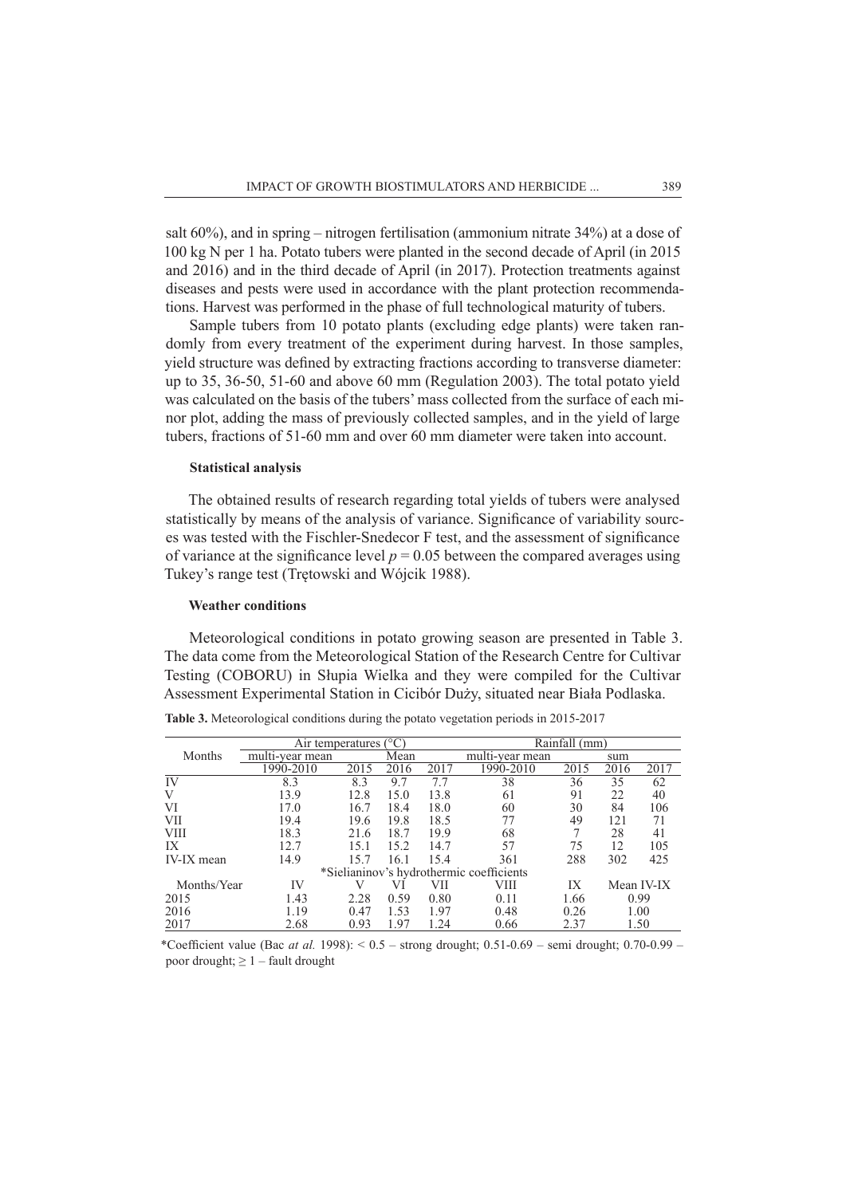salt 60%), and in spring – nitrogen fertilisation (ammonium nitrate 34%) at a dose of 100 kg N per 1 ha. Potato tubers were planted in the second decade of April (in 2015 and 2016) and in the third decade of April (in 2017). Protection treatments against diseases and pests were used in accordance with the plant protection recommendations. Harvest was performed in the phase of full technological maturity of tubers.

Sample tubers from 10 potato plants (excluding edge plants) were taken randomly from every treatment of the experiment during harvest. In those samples, yield structure was defined by extracting fractions according to transverse diameter: up to 35, 36-50, 51-60 and above 60 mm (Regulation 2003). The total potato yield was calculated on the basis of the tubers' mass collected from the surface of each minor plot, adding the mass of previously collected samples, and in the yield of large tubers, fractions of 51-60 mm and over 60 mm diameter were taken into account.

### **Statistical analysis**

The obtained results of research regarding total yields of tubers were analysed statistically by means of the analysis of variance. Significance of variability sources was tested with the Fischler-Snedecor F test, and the assessment of significance of variance at the significance level  $p = 0.05$  between the compared averages using Tukey's range test (Trętowski and Wójcik 1988).

#### **Weather conditions**

Meteorological conditions in potato growing season are presented in Table 3. The data come from the Meteorological Station of the Research Centre for Cultivar Testing (COBORU) in Słupia Wielka and they were compiled for the Cultivar Assessment Experimental Station in Cicibór Duży, situated near Biała Podlaska.

|                   | Air temperatures $(^{\circ}C)$ |      |      |      | Rainfall (mm)                            |      |      |            |  |
|-------------------|--------------------------------|------|------|------|------------------------------------------|------|------|------------|--|
| Months            | multi-year mean                |      | Mean |      | multi-year mean                          | sum  |      |            |  |
|                   | 1990-2010                      | 2015 | 2016 | 2017 | 1990-2010                                | 2015 | 2016 | 2017       |  |
| IV                | 8.3                            | 8.3  | 9.7  | 7.7  | 38                                       | 36   | 35   | 62         |  |
| V                 | 13.9                           | 12.8 | 15.0 | 13.8 | 61                                       | 91   | 22   | 40         |  |
| VI                | 17.0                           | 16.7 | 18.4 | 18.0 | 60                                       | 30   | 84   | 106        |  |
| <b>VII</b>        | 19.4                           | 19.6 | 19.8 | 18.5 | 77                                       | 49   | 121  | 71         |  |
| <b>VIII</b>       | 18.3                           | 21.6 | 18.7 | 19.9 | 68                                       |      | 28   | 41         |  |
| IX                | 12.7                           | 15.1 | 15.2 | 14.7 | 57                                       | 75   | 12   | 105        |  |
| <b>IV-IX</b> mean | 14.9                           | 15.7 | 16.1 | 15.4 | 361                                      | 288  | 302  | 425        |  |
|                   |                                |      |      |      | *Sielianinov's hydrothermic coefficients |      |      |            |  |
| Months/Year       | IV                             |      | VI   | VII  | VIII                                     | IХ   |      | Mean IV-IX |  |
| 2015              | 1.43                           | 2.28 | 0.59 | 0.80 | 0.11                                     | 1.66 |      | 0.99       |  |
| 2016              | 1.19                           | 0.47 | 1.53 | 1.97 | 0.48                                     | 0.26 |      | 1.00       |  |
| 2017              | 2.68<br>1.97<br>1.24<br>0.93   |      |      | 0.66 | 2.37<br>1.50                             |      |      |            |  |

**Table 3.** Meteorological conditions during the potato vegetation periods in 2015-2017

\*Coefficient value (Bac *at al.* 1998):  $0.5 -$  strong drought; 0.51-0.69 – semi drought; 0.70-0.99 – poor drought;  $\geq 1$  – fault drought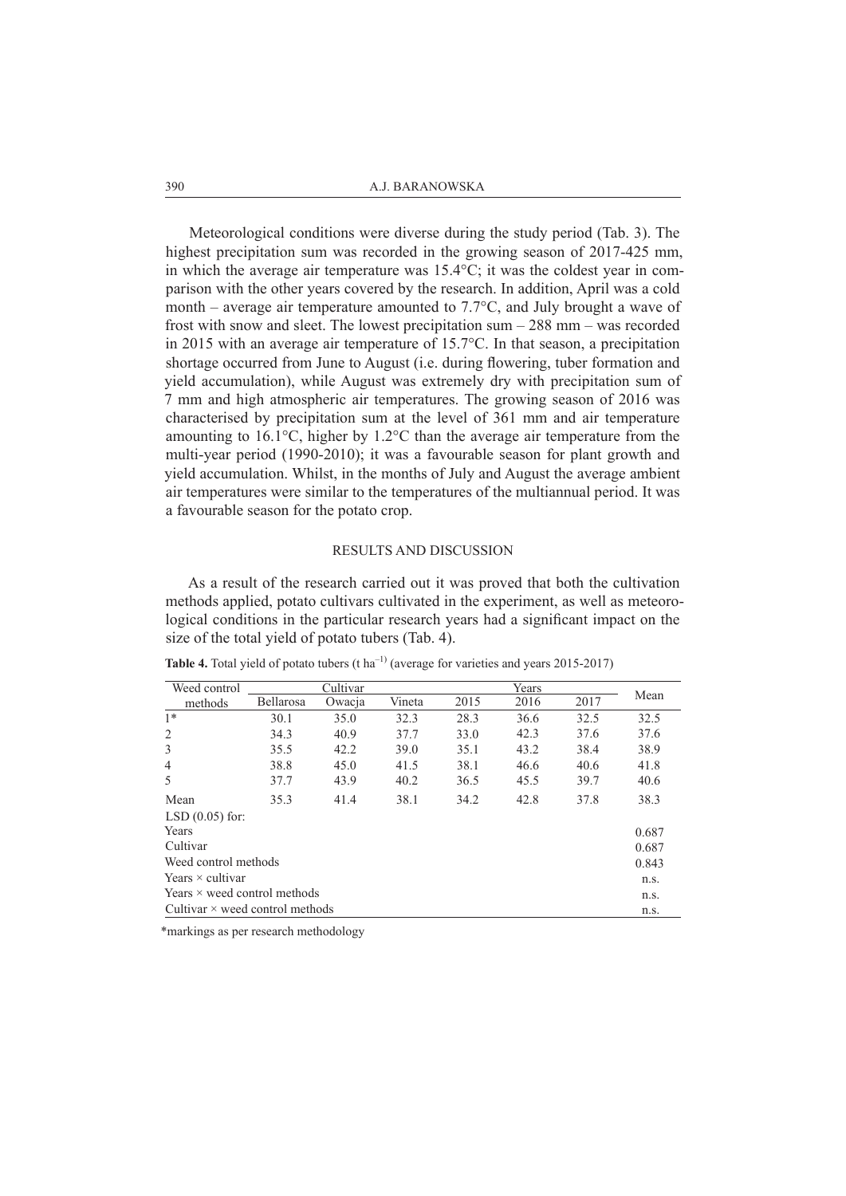Meteorological conditions were diverse during the study period (Tab. 3). The highest precipitation sum was recorded in the growing season of 2017-425 mm, in which the average air temperature was 15.4°C; it was the coldest year in comparison with the other years covered by the research. In addition, April was a cold month – average air temperature amounted to 7.7°C, and July brought a wave of frost with snow and sleet. The lowest precipitation sum – 288 mm – was recorded in 2015 with an average air temperature of 15.7°C. In that season, a precipitation shortage occurred from June to August (i.e. during flowering, tuber formation and yield accumulation), while August was extremely dry with precipitation sum of 7 mm and high atmospheric air temperatures. The growing season of 2016 was characterised by precipitation sum at the level of 361 mm and air temperature amounting to 16.1°C, higher by 1.2°C than the average air temperature from the multi-year period (1990-2010); it was a favourable season for plant growth and yield accumulation. Whilst, in the months of July and August the average ambient air temperatures were similar to the temperatures of the multiannual period. It was a favourable season for the potato crop.

#### RESULTS AND DISCUSSION

As a result of the research carried out it was proved that both the cultivation methods applied, potato cultivars cultivated in the experiment, as well as meteorological conditions in the particular research years had a significant impact on the size of the total yield of potato tubers (Tab. 4).

| Weed control                           |           |        | Cultivar |      | Years |      | Mean  |  |  |
|----------------------------------------|-----------|--------|----------|------|-------|------|-------|--|--|
| methods                                | Bellarosa | Owacja | Vineta   | 2015 | 2016  | 2017 |       |  |  |
| $1*$                                   | 30.1      | 35.0   | 32.3     | 28.3 | 36.6  | 32.5 | 32.5  |  |  |
| 2                                      | 34.3      | 40.9   | 37.7     | 33.0 | 42.3  | 37.6 | 37.6  |  |  |
| 3                                      | 35.5      | 42.2   | 39.0     | 35.1 | 43.2  | 38.4 | 38.9  |  |  |
| 4                                      | 38.8      | 45.0   | 41.5     | 38.1 | 46.6  | 40.6 | 41.8  |  |  |
| 5                                      | 37.7      | 43.9   | 40.2     | 36.5 | 45.5  | 39.7 | 40.6  |  |  |
| Mean                                   | 35.3      | 41.4   | 38.1     | 34.2 | 42.8  | 37.8 | 38.3  |  |  |
| $LSD(0.05)$ for:                       |           |        |          |      |       |      |       |  |  |
| Years                                  |           |        |          |      |       |      | 0.687 |  |  |
| Cultivar                               |           |        |          |      |       |      | 0.687 |  |  |
| Weed control methods                   |           |        |          |      |       |      |       |  |  |
| Years $\times$ cultivar                |           |        |          |      |       |      |       |  |  |
| Years $\times$ weed control methods    |           |        |          |      |       |      | n.s.  |  |  |
| Cultivar $\times$ weed control methods |           |        |          |      |       |      | n.s.  |  |  |
|                                        |           |        |          |      |       |      |       |  |  |

Table 4. Total yield of potato tubers (t ha<sup>-1)</sup> (average for varieties and years 2015-2017)

\*markings as per research methodology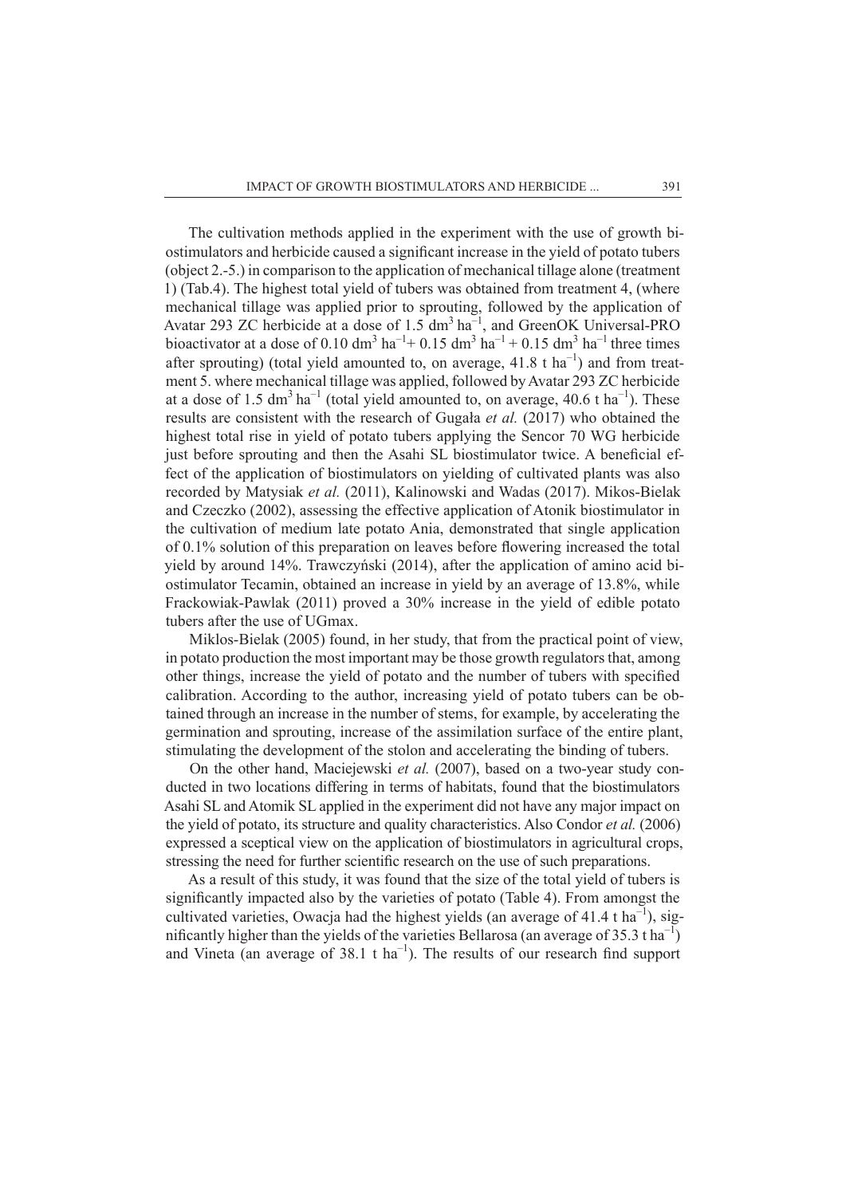The cultivation methods applied in the experiment with the use of growth biostimulators and herbicide caused a significant increase in the yield of potato tubers (object 2.-5.) in comparison to the application of mechanical tillage alone (treatment 1) (Tab.4). The highest total yield of tubers was obtained from treatment 4, (where mechanical tillage was applied prior to sprouting, followed by the application of Avatar 293 ZC herbicide at a dose of 1.5  $\text{dm}^3$  ha<sup>-1</sup>, and GreenOK Universal-PRO bioactivator at a dose of 0.10 dm<sup>3</sup> ha<sup>-1</sup>+ 0.15 dm<sup>3</sup> ha<sup>-1</sup> + 0.15 dm<sup>3</sup> ha<sup>-1</sup> three times after sprouting) (total yield amounted to, on average,  $41.8$  t ha<sup>-1</sup>) and from treatment 5. where mechanical tillage was applied, followed by Avatar 293 ZC herbicide at a dose of 1.5 dm<sup>3</sup> ha<sup>-1</sup> (total yield amounted to, on average, 40.6 t ha<sup>-1</sup>). These results are consistent with the research of Gugała *et al.* (2017) who obtained the highest total rise in yield of potato tubers applying the Sencor 70 WG herbicide just before sprouting and then the Asahi SL biostimulator twice. A beneficial effect of the application of biostimulators on yielding of cultivated plants was also recorded by Matysiak *et al.* (2011), Kalinowski and Wadas (2017). Mikos-Bielak and Czeczko (2002), assessing the effective application of Atonik biostimulator in the cultivation of medium late potato Ania, demonstrated that single application of 0.1% solution of this preparation on leaves before flowering increased the total yield by around 14%. Trawczyński (2014), after the application of amino acid biostimulator Tecamin, obtained an increase in yield by an average of 13.8%, while Frackowiak-Pawlak (2011) proved a 30% increase in the yield of edible potato tubers after the use of UGmax.

Miklos-Bielak (2005) found, in her study, that from the practical point of view, in potato production the most important may be those growth regulators that, among other things, increase the yield of potato and the number of tubers with specified calibration. According to the author, increasing yield of potato tubers can be obtained through an increase in the number of stems, for example, by accelerating the germination and sprouting, increase of the assimilation surface of the entire plant, stimulating the development of the stolon and accelerating the binding of tubers.

On the other hand, Maciejewski *et al.* (2007), based on a two-year study conducted in two locations differing in terms of habitats, found that the biostimulators Asahi SL and Atomik SL applied in the experiment did not have any major impact on the yield of potato, its structure and quality characteristics. Also Condor *et al.* (2006) expressed a sceptical view on the application of biostimulators in agricultural crops, stressing the need for further scientific research on the use of such preparations.

As a result of this study, it was found that the size of the total yield of tubers is significantly impacted also by the varieties of potato (Table 4). From amongst the cultivated varieties, Owacja had the highest yields (an average of 41.4 t ha<sup>-1</sup>), significantly higher than the yields of the varieties Bellarosa (an average of 35.3 t ha<sup>-1</sup>) and Vineta (an average of  $38.1 \text{ tha}^{-1}$ ). The results of our research find support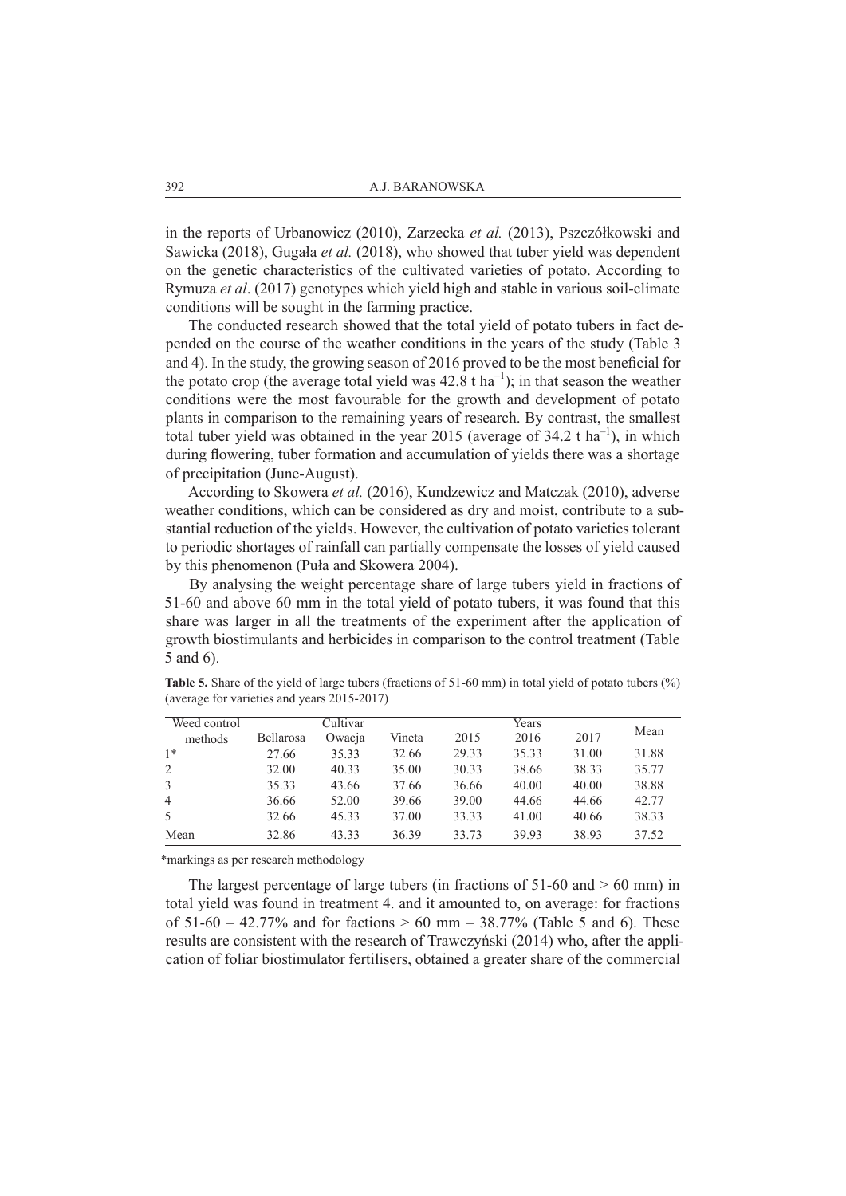in the reports of Urbanowicz (2010), Zarzecka *et al.* (2013), Pszczółkowski and Sawicka (2018), Gugała *et al.* (2018), who showed that tuber yield was dependent on the genetic characteristics of the cultivated varieties of potato. According to Rymuza *et al*. (2017) genotypes which yield high and stable in various soil-climate conditions will be sought in the farming practice.

The conducted research showed that the total yield of potato tubers in fact depended on the course of the weather conditions in the years of the study (Table 3 and 4). In the study, the growing season of 2016 proved to be the most beneficial for the potato crop (the average total yield was  $42.8 \text{ tha}^{-1}$ ); in that season the weather conditions were the most favourable for the growth and development of potato plants in comparison to the remaining years of research. By contrast, the smallest total tuber yield was obtained in the year 2015 (average of  $34.2 \text{ t} \text{ ha}^{-1}$ ), in which during flowering, tuber formation and accumulation of yields there was a shortage of precipitation (June-August).

According to Skowera *et al.* (2016), Kundzewicz and Matczak (2010), adverse weather conditions, which can be considered as dry and moist, contribute to a substantial reduction of the yields. However, the cultivation of potato varieties tolerant to periodic shortages of rainfall can partially compensate the losses of yield caused by this phenomenon (Puła and Skowera 2004).

By analysing the weight percentage share of large tubers yield in fractions of 51-60 and above 60 mm in the total yield of potato tubers, it was found that this share was larger in all the treatments of the experiment after the application of growth biostimulants and herbicides in comparison to the control treatment (Table 5 and 6).

| Weed control   | Cultivar         |        |        | Years |       |       |       |
|----------------|------------------|--------|--------|-------|-------|-------|-------|
| methods        | <b>Bellarosa</b> | Owacja | Vineta | 2015  | 2016  | 2017  | Mean  |
| $1*$           | 27.66            | 35.33  | 32.66  | 29.33 | 35.33 | 31.00 | 31.88 |
| 2              | 32.00            | 40.33  | 35.00  | 30.33 | 38.66 | 38.33 | 35.77 |
|                | 35.33            | 43.66  | 37.66  | 36.66 | 40.00 | 40.00 | 38.88 |
| $\overline{4}$ | 36.66            | 52.00  | 39.66  | 39.00 | 44.66 | 44.66 | 42.77 |
|                | 32.66            | 45.33  | 37.00  | 33.33 | 41.00 | 40.66 | 38.33 |
| Mean           | 32.86            | 43.33  | 36.39  | 33 73 | 39.93 | 38.93 | 37.52 |

**Table 5.** Share of the yield of large tubers (fractions of 51-60 mm) in total yield of potato tubers (%) (average for varieties and years 2015-2017)

\*markings as per research methodology

The largest percentage of large tubers (in fractions of  $51-60$  and  $> 60$  mm) in total yield was found in treatment 4. and it amounted to, on average: for fractions of  $51-60 - 42.77\%$  and for factions  $> 60$  mm  $- 38.77\%$  (Table 5 and 6). These results are consistent with the research of Trawczyński (2014) who, after the application of foliar biostimulator fertilisers, obtained a greater share of the commercial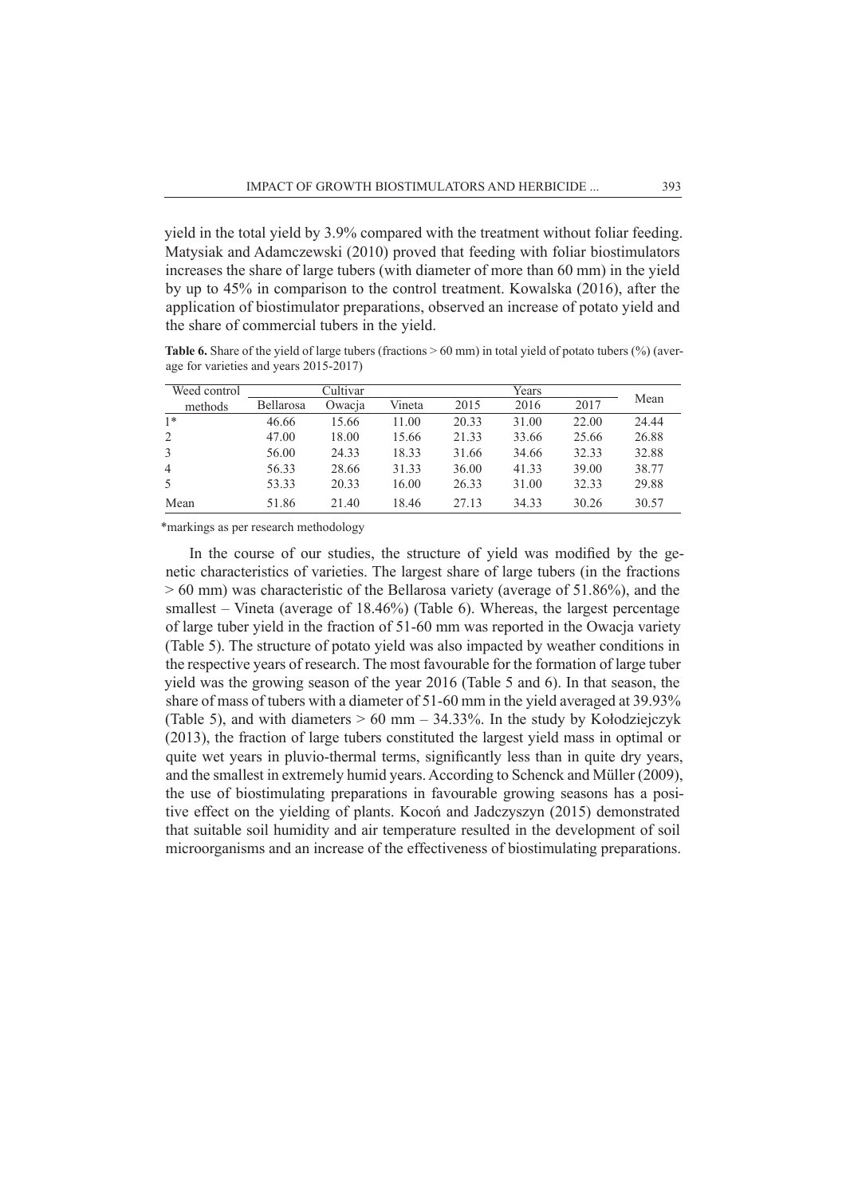yield in the total yield by 3.9% compared with the treatment without foliar feeding. Matysiak and Adamczewski (2010) proved that feeding with foliar biostimulators increases the share of large tubers (with diameter of more than 60 mm) in the yield by up to 45% in comparison to the control treatment. Kowalska (2016), after the application of biostimulator preparations, observed an increase of potato yield and the share of commercial tubers in the yield.

**Table 6.** Share of the yield of large tubers (fractions > 60 mm) in total yield of potato tubers (%) (average for varieties and years 2015-2017)

| Weed control   | Cultivar         |        |        | Years |       |       |       |
|----------------|------------------|--------|--------|-------|-------|-------|-------|
| methods        | <b>Bellarosa</b> | Owacja | Vineta | 2015  | 2016  | 2017  | Mean  |
| $1*$           | 46.66            | 15.66  | 11.00  | 20.33 | 31.00 | 22.00 | 24.44 |
| 2              | 47.00            | 18.00  | 15.66  | 21.33 | 33.66 | 25.66 | 26.88 |
| 3              | 56.00            | 24.33  | 18.33  | 31.66 | 34.66 | 32.33 | 32.88 |
| $\overline{4}$ | 56.33            | 28.66  | 31.33  | 36.00 | 41.33 | 39.00 | 38.77 |
| -5             | 53.33            | 20.33  | 16.00  | 26.33 | 31.00 | 32.33 | 29.88 |
| Mean           | 51.86            | 21.40  | 18.46  | 27.13 | 34.33 | 30.26 | 30.57 |

\*markings as per research methodology

In the course of our studies, the structure of yield was modified by the genetic characteristics of varieties. The largest share of large tubers (in the fractions > 60 mm) was characteristic of the Bellarosa variety (average of 51.86%), and the smallest – Vineta (average of 18.46%) (Table 6). Whereas, the largest percentage of large tuber yield in the fraction of 51-60 mm was reported in the Owacja variety (Table 5). The structure of potato yield was also impacted by weather conditions in the respective years of research. The most favourable for the formation of large tuber yield was the growing season of the year 2016 (Table 5 and 6). In that season, the share of mass of tubers with a diameter of 51-60 mm in the yield averaged at 39.93% (Table 5), and with diameters  $> 60$  mm – 34.33%. In the study by Kołodziejczyk (2013), the fraction of large tubers constituted the largest yield mass in optimal or quite wet years in pluvio-thermal terms, significantly less than in quite dry years, and the smallest in extremely humid years. According to Schenck and Müller (2009), the use of biostimulating preparations in favourable growing seasons has a positive effect on the yielding of plants. Kocoń and Jadczyszyn (2015) demonstrated that suitable soil humidity and air temperature resulted in the development of soil microorganisms and an increase of the effectiveness of biostimulating preparations.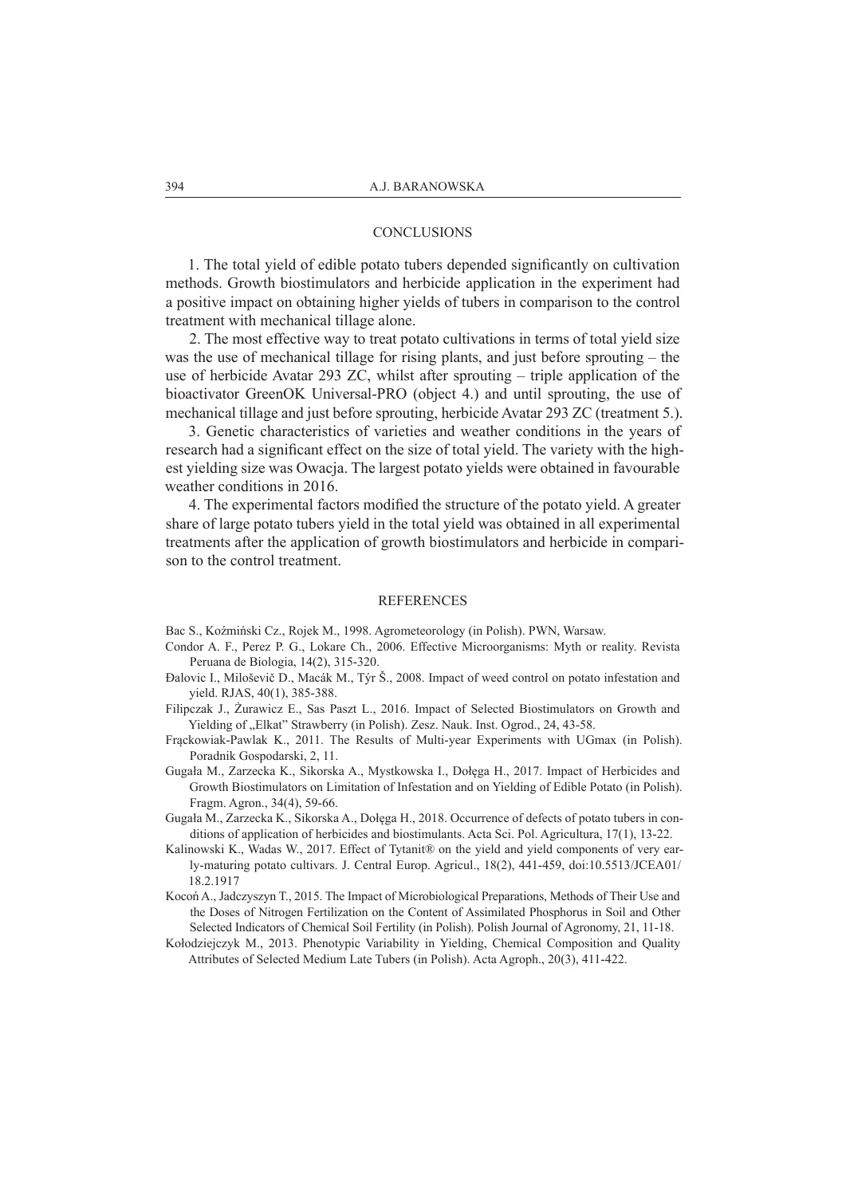## **CONCLUSIONS**

1. The total yield of edible potato tubers depended significantly on cultivation methods. Growth biostimulators and herbicide application in the experiment had a positive impact on obtaining higher yields of tubers in comparison to the control treatment with mechanical tillage alone.

2. The most effective way to treat potato cultivations in terms of total yield size was the use of mechanical tillage for rising plants, and just before sprouting – the use of herbicide Avatar 293 ZC, whilst after sprouting – triple application of the bioactivator GreenOK Universal-PRO (object 4.) and until sprouting, the use of mechanical tillage and just before sprouting, herbicide Avatar 293 ZC (treatment 5.).

3. Genetic characteristics of varieties and weather conditions in the years of research had a significant effect on the size of total yield. The variety with the highest yielding size was Owacja. The largest potato yields were obtained in favourable weather conditions in 2016.

4. The experimental factors modified the structure of the potato yield. A greater share of large potato tubers yield in the total yield was obtained in all experimental treatments after the application of growth biostimulators and herbicide in comparison to the control treatment.

#### **REFERENCES**

Bac S., Koźmiński Cz., Rojek M., 1998. Agrometeorology (in Polish). PWN, Warsaw.

- Condor A. F., Perez P. G., Lokare Ch., 2006. Effective Microorganisms: Myth or reality. Revista Peruana de Biologia, 14(2), 315-320.
- Đalovic I., Miloševič D., Macák M., Týr Š., 2008. Impact of weed control on potato infestation and yield. RJAS, 40(1), 385-388.
- Filipczak J., Żurawicz E., Sas Paszt L., 2016. Impact of Selected Biostimulators on Growth and Yielding of "Elkat" Strawberry (in Polish). Zesz. Nauk. Inst. Ogrod., 24, 43-58.
- Frąckowiak-Pawlak K., 2011. The Results of Multi-year Experiments with UGmax (in Polish). Poradnik Gospodarski, 2, 11.
- Gugała M., Zarzecka K., Sikorska A., Mystkowska I., Dołęga H., 2017. Impact of Herbicides and Growth Biostimulators on Limitation of Infestation and on Yielding of Edible Potato (in Polish). Fragm. Agron., 34(4), 59-66.
- Gugała M., Zarzecka K., Sikorska A., Dołęga H., 2018. Occurrence of defects of potato tubers in conditions of application of herbicides and biostimulants. Acta Sci. Pol. Agricultura, 17(1), 13-22.
- Kalinowski K., Wadas W., 2017. Effect of Tytanit® on the yield and yield components of very early-maturing potato cultivars. J. Central Europ. Agricul., 18(2), 441-459, doi:10.5513/JCEA01/ 18.2.1917
- Kocoń A., Jadczyszyn T., 2015. The Impact of Microbiological Preparations, Methods of Their Use and the Doses of Nitrogen Fertilization on the Content of Assimilated Phosphorus in Soil and Other Selected Indicators of Chemical Soil Fertility (in Polish). Polish Journal of Agronomy, 21, 11-18.
- Kołodziejczyk M., 2013. Phenotypic Variability in Yielding, Chemical Composition and Quality Attributes of Selected Medium Late Tubers (in Polish). Acta Agroph., 20(3), 411-422.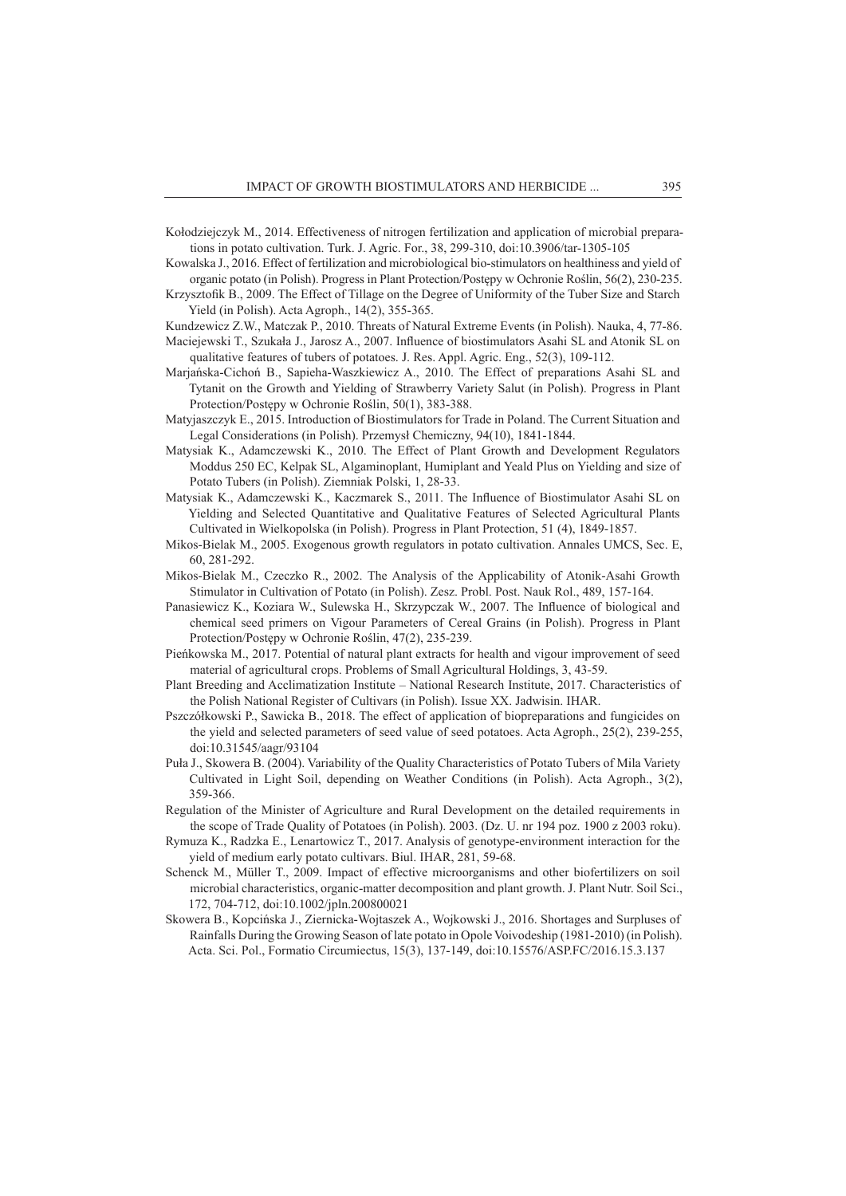- Kołodziejczyk M., 2014. Effectiveness of nitrogen fertilization and application of microbial preparations in potato cultivation. Turk. J. Agric. For., 38, 299-310, doi:10.3906/tar-1305-105
- Kowalska J., 2016. Effect of fertilization and microbiological bio-stimulators on healthiness and yield of organic potato (in Polish). Progress in Plant Protection/Postępy w Ochronie Roślin, 56(2), 230-235.
- Krzysztofik B., 2009. The Effect of Tillage on the Degree of Uniformity of the Tuber Size and Starch Yield (in Polish). Acta Agroph., 14(2), 355-365.
- Kundzewicz Z.W., Matczak P., 2010. Threats of Natural Extreme Events (in Polish). Nauka, 4, 77-86.
- Maciejewski T., Szukała J., Jarosz A., 2007. Influence of biostimulators Asahi SL and Atonik SL on qualitative features of tubers of potatoes. J. Res. Appl. Agric. Eng., 52(3), 109-112.
- Marjańska-Cichoń B., Sapieha-Waszkiewicz A., 2010. The Effect of preparations Asahi SL and Tytanit on the Growth and Yielding of Strawberry Variety Salut (in Polish). Progress in Plant Protection/Postępy w Ochronie Roślin, 50(1), 383-388.
- Matyjaszczyk E., 2015. Introduction of Biostimulators for Trade in Poland. The Current Situation and Legal Considerations (in Polish). Przemysł Chemiczny, 94(10), 1841-1844.
- Matysiak K., Adamczewski K., 2010. The Effect of Plant Growth and Development Regulators Moddus 250 EC, Kelpak SL, Algaminoplant, Humiplant and Yeald Plus on Yielding and size of Potato Tubers (in Polish). Ziemniak Polski, 1, 28-33.
- Matysiak K., Adamczewski K., Kaczmarek S., 2011. The Influence of Biostimulator Asahi SL on Yielding and Selected Quantitative and Qualitative Features of Selected Agricultural Plants Cultivated in Wielkopolska (in Polish). Progress in Plant Protection, 51 (4), 1849-1857.
- Mikos-Bielak M., 2005. Exogenous growth regulators in potato cultivation. Annales UMCS, Sec. E, 60, 281-292.
- Mikos-Bielak M., Czeczko R., 2002. The Analysis of the Applicability of Atonik-Asahi Growth Stimulator in Cultivation of Potato (in Polish). Zesz. Probl. Post. Nauk Rol., 489, 157-164.
- Panasiewicz K., Koziara W., Sulewska H., Skrzypczak W., 2007. The Influence of biological and chemical seed primers on Vigour Parameters of Cereal Grains (in Polish). Progress in Plant Protection/Postępy w Ochronie Roślin, 47(2), 235-239.
- Pieńkowska M., 2017. Potential of natural plant extracts for health and vigour improvement of seed material of agricultural crops. Problems of Small Agricultural Holdings, 3, 43-59.
- Plant Breeding and Acclimatization Institute National Research Institute, 2017. Characteristics of the Polish National Register of Cultivars (in Polish). Issue XX. Jadwisin. IHAR.
- Pszczółkowski P., Sawicka B., 2018. The effect of application of biopreparations and fungicides on the yield and selected parameters of seed value of seed potatoes. Acta Agroph., 25(2), 239-255, doi:10.31545/aagr/93104
- Puła J., Skowera B. (2004). Variability of the Quality Characteristics of Potato Tubers of Mila Variety Cultivated in Light Soil, depending on Weather Conditions (in Polish). Acta Agroph., 3(2), 359-366.
- Regulation of the Minister of Agriculture and Rural Development on the detailed requirements in the scope of Trade Quality of Potatoes (in Polish). 2003. (Dz. U. nr 194 poz. 1900 z 2003 roku).
- Rymuza K., Radzka E., Lenartowicz T., 2017. Analysis of genotype-environment interaction for the yield of medium early potato cultivars. Biul. IHAR, 281, 59-68.
- Schenck M., Müller T., 2009. Impact of effective microorganisms and other biofertilizers on soil microbial characteristics, organic-matter decomposition and plant growth. J. Plant Nutr. Soil Sci., 172, 704-712, doi:10.1002/jpln.200800021
- Skowera B., Kopcińska J., Ziernicka-Wojtaszek A., Wojkowski J., 2016. Shortages and Surpluses of Rainfalls During the Growing Season of late potato in Opole Voivodeship (1981-2010) (in Polish). Acta. Sci. Pol., Formatio Circumiectus, 15(3), 137-149, doi:10.15576/ASP.FC/2016.15.3.137